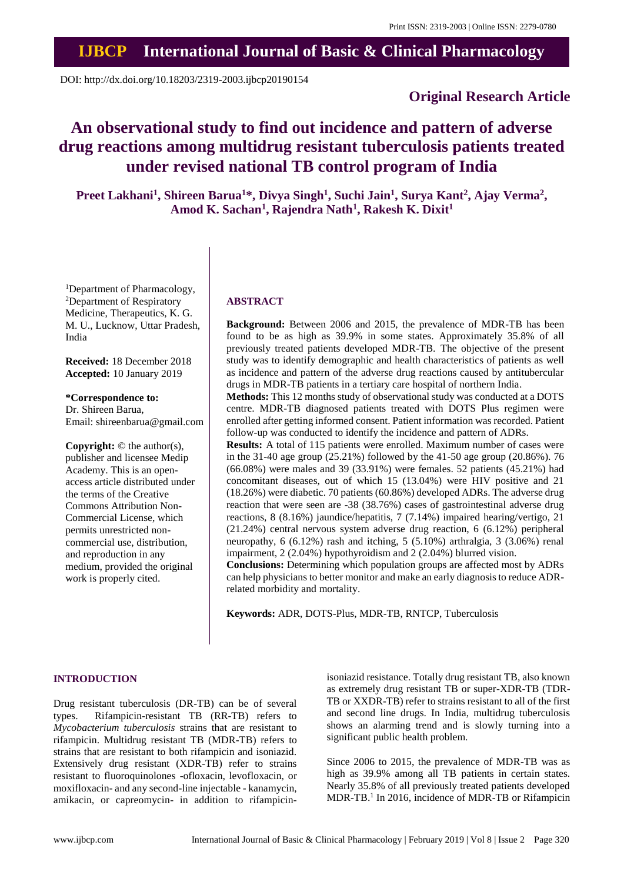# **IJBCP International Journal of Basic & Clinical Pharmacology**

DOI: http://dx.doi.org/10.18203/2319-2003.ijbcp20190154

### **Original Research Article**

## **An observational study to find out incidence and pattern of adverse drug reactions among multidrug resistant tuberculosis patients treated under revised national TB control program of India**

**Preet Lakhani<sup>1</sup> , Shireen Barua<sup>1</sup>\*, Divya Singh<sup>1</sup> , Suchi Jain<sup>1</sup> , Surya Kant<sup>2</sup> , Ajay Verma<sup>2</sup> , Amod K. Sachan<sup>1</sup> , Rajendra Nath<sup>1</sup> , Rakesh K. Dixit<sup>1</sup>**

<sup>1</sup>Department of Pharmacology, <sup>2</sup>Department of Respiratory Medicine, Therapeutics, K. G. M. U., Lucknow, Uttar Pradesh, India

**Received:** 18 December 2018 **Accepted:** 10 January 2019

**\*Correspondence to:** Dr. Shireen Barua, Email: shireenbarua@gmail.com

**Copyright:** © the author(s), publisher and licensee Medip Academy. This is an openaccess article distributed under the terms of the Creative Commons Attribution Non-Commercial License, which permits unrestricted noncommercial use, distribution, and reproduction in any medium, provided the original work is properly cited.

#### **ABSTRACT**

**Background:** Between 2006 and 2015, the prevalence of MDR-TB has been found to be as high as 39.9% in some states. Approximately 35.8% of all previously treated patients developed MDR-TB. The objective of the present study was to identify demographic and health characteristics of patients as well as incidence and pattern of the adverse drug reactions caused by antitubercular drugs in MDR-TB patients in a tertiary care hospital of northern India.

**Methods:** This 12 months study of observational study was conducted at a DOTS centre. MDR-TB diagnosed patients treated with DOTS Plus regimen were enrolled after getting informed consent. Patient information was recorded. Patient follow-up was conducted to identify the incidence and pattern of ADRs.

**Results:** A total of 115 patients were enrolled. Maximum number of cases were in the 31-40 age group (25.21%) followed by the 41-50 age group (20.86%). 76 (66.08%) were males and 39 (33.91%) were females. 52 patients (45.21%) had concomitant diseases, out of which 15 (13.04%) were HIV positive and 21 (18.26%) were diabetic. 70 patients (60.86%) developed ADRs. The adverse drug reaction that were seen are -38 (38.76%) cases of gastrointestinal adverse drug reactions, 8 (8.16%) jaundice/hepatitis, 7 (7.14%) impaired hearing/vertigo, 21 (21.24%) central nervous system adverse drug reaction, 6 (6.12%) peripheral neuropathy, 6 (6.12%) rash and itching, 5 (5.10%) arthralgia, 3 (3.06%) renal impairment, 2 (2.04%) hypothyroidism and 2 (2.04%) blurred vision.

**Conclusions:** Determining which population groups are affected most by ADRs can help physicians to better monitor and make an early diagnosis to reduce ADRrelated morbidity and mortality.

**Keywords:** ADR, DOTS-Plus, MDR-TB, RNTCP, Tuberculosis

#### **INTRODUCTION**

Drug resistant tuberculosis (DR-TB) can be of several types. Rifampicin-resistant TB (RR-TB) refers to *Mycobacterium tuberculosis* strains that are resistant to rifampicin. Multidrug resistant TB (MDR-TB) refers to strains that are resistant to both rifampicin and isoniazid. Extensively drug resistant (XDR-TB) refer to strains resistant to fluoroquinolones -ofloxacin, levofloxacin, or moxifloxacin- and any second-line injectable - kanamycin, amikacin, or capreomycin- in addition to rifampicinisoniazid resistance. Totally drug resistant TB, also known as extremely drug resistant TB or super-XDR-TB (TDR-TB or XXDR-TB) refer to strains resistant to all of the first and second line drugs. In India, multidrug tuberculosis shows an alarming trend and is slowly turning into a significant public health problem.

Since 2006 to 2015, the prevalence of MDR-TB was as high as 39.9% among all TB patients in certain states. Nearly 35.8% of all previously treated patients developed MDR-TB.<sup>1</sup> In 2016, incidence of MDR-TB or Rifampicin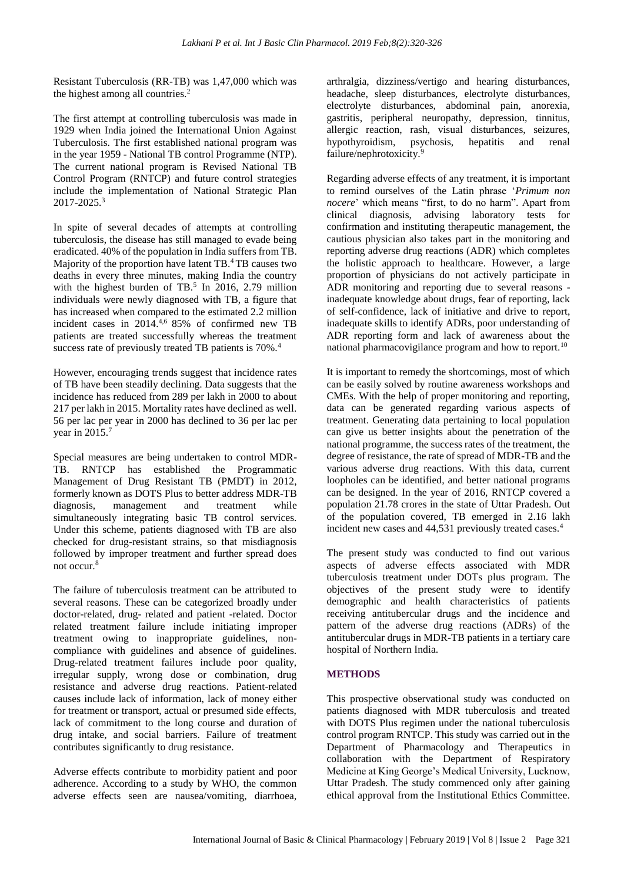Resistant Tuberculosis (RR-TB) was 1,47,000 which was the highest among all countries.<sup>2</sup>

The first attempt at controlling tuberculosis was made in 1929 when India joined the International Union Against Tuberculosis. The first established national program was in the year 1959 - National TB control Programme (NTP). The current national program is Revised National TB Control Program (RNTCP) and future control strategies include the implementation of National Strategic Plan 2017-2025.<sup>3</sup>

In spite of several decades of attempts at controlling tuberculosis, the disease has still managed to evade being eradicated. 40% of the population in India suffers from TB. Majority of the proportion have latent TB.<sup>4</sup>TB causes two deaths in every three minutes, making India the country with the highest burden of  $TB<sup>5</sup>$  In 2016, 2.79 million individuals were newly diagnosed with TB, a figure that has increased when compared to the estimated 2.2 million incident cases in 2014.<sup>4,6</sup> 85% of confirmed new TB patients are treated successfully whereas the treatment success rate of previously treated TB patients is 70%.<sup>4</sup>

However, encouraging trends suggest that incidence rates of TB have been steadily declining. Data suggests that the incidence has reduced from 289 per lakh in 2000 to about 217 per lakh in 2015. Mortality rates have declined as well. 56 per lac per year in 2000 has declined to 36 per lac per year in 2015.<sup>7</sup>

Special measures are being undertaken to control MDR-TB. RNTCP has established the Programmatic Management of Drug Resistant TB (PMDT) in 2012, formerly known as DOTS Plus to better address MDR-TB diagnosis, management and treatment while simultaneously integrating basic TB control services. Under this scheme, patients diagnosed with TB are also checked for drug-resistant strains, so that misdiagnosis followed by improper treatment and further spread does not occur.<sup>8</sup>

The failure of tuberculosis treatment can be attributed to several reasons. These can be categorized broadly under doctor-related, drug- related and patient -related. Doctor related treatment failure include initiating improper treatment owing to inappropriate guidelines, noncompliance with guidelines and absence of guidelines. Drug-related treatment failures include poor quality, irregular supply, wrong dose or combination, drug resistance and adverse drug reactions. Patient-related causes include lack of information, lack of money either for treatment or transport, actual or presumed side effects, lack of commitment to the long course and duration of drug intake, and social barriers. Failure of treatment contributes significantly to drug resistance.

Adverse effects contribute to morbidity patient and poor adherence. According to a study by WHO, the common adverse effects seen are nausea/vomiting, diarrhoea, arthralgia, dizziness/vertigo and hearing disturbances, headache, sleep disturbances, electrolyte disturbances, electrolyte disturbances, abdominal pain, anorexia, gastritis, peripheral neuropathy, depression, tinnitus, allergic reaction, rash, visual disturbances, seizures, hypothyroidism, psychosis, hepatitis and renal failure/nephrotoxicity.<sup>9</sup>

Regarding adverse effects of any treatment, it is important to remind ourselves of the Latin phrase '*Primum non nocere*' which means "first, to do no harm". Apart from clinical diagnosis, advising laboratory tests for confirmation and instituting therapeutic management, the cautious physician also takes part in the monitoring and reporting adverse drug reactions (ADR) which completes the holistic approach to healthcare. However, a large proportion of physicians do not actively participate in ADR monitoring and reporting due to several reasons inadequate knowledge about drugs, fear of reporting, lack of self-confidence, lack of initiative and drive to report, inadequate skills to identify ADRs, poor understanding of ADR reporting form and lack of awareness about the national pharmacovigilance program and how to report.<sup>10</sup>

It is important to remedy the shortcomings, most of which can be easily solved by routine awareness workshops and CMEs. With the help of proper monitoring and reporting, data can be generated regarding various aspects of treatment. Generating data pertaining to local population can give us better insights about the penetration of the national programme, the success rates of the treatment, the degree of resistance, the rate of spread of MDR-TB and the various adverse drug reactions. With this data, current loopholes can be identified, and better national programs can be designed. In the year of 2016, RNTCP covered a population 21.78 crores in the state of Uttar Pradesh. Out of the population covered, TB emerged in 2.16 lakh incident new cases and 44,531 previously treated cases.<sup>4</sup>

The present study was conducted to find out various aspects of adverse effects associated with MDR tuberculosis treatment under DOTs plus program. The objectives of the present study were to identify demographic and health characteristics of patients receiving antitubercular drugs and the incidence and pattern of the adverse drug reactions (ADRs) of the antitubercular drugs in MDR-TB patients in a tertiary care hospital of Northern India.

#### **METHODS**

This prospective observational study was conducted on patients diagnosed with MDR tuberculosis and treated with DOTS Plus regimen under the national tuberculosis control program RNTCP. This study was carried out in the Department of Pharmacology and Therapeutics in collaboration with the Department of Respiratory Medicine at King George's Medical University, Lucknow, Uttar Pradesh. The study commenced only after gaining ethical approval from the Institutional Ethics Committee.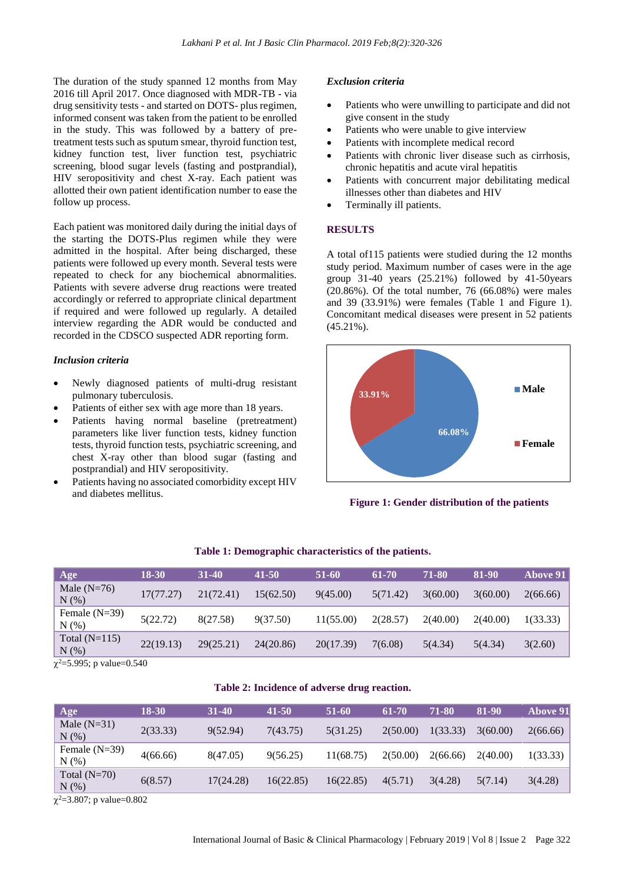The duration of the study spanned 12 months from May 2016 till April 2017. Once diagnosed with MDR-TB - via drug sensitivity tests - and started on DOTS- plus regimen, informed consent was taken from the patient to be enrolled in the study. This was followed by a battery of pretreatment tests such as sputum smear, thyroid function test, kidney function test, liver function test, psychiatric screening, blood sugar levels (fasting and postprandial), HIV seropositivity and chest X-ray. Each patient was allotted their own patient identification number to ease the follow up process.

Each patient was monitored daily during the initial days of the starting the DOTS-Plus regimen while they were admitted in the hospital. After being discharged, these patients were followed up every month. Several tests were repeated to check for any biochemical abnormalities. Patients with severe adverse drug reactions were treated accordingly or referred to appropriate clinical department if required and were followed up regularly. A detailed interview regarding the ADR would be conducted and recorded in the CDSCO suspected ADR reporting form.

#### *Inclusion criteria*

- Newly diagnosed patients of multi-drug resistant pulmonary tuberculosis.
- Patients of either sex with age more than 18 years.
- Patients having normal baseline (pretreatment) parameters like liver function tests, kidney function tests, thyroid function tests, psychiatric screening, and chest X-ray other than blood sugar (fasting and postprandial) and HIV seropositivity.
- Patients having no associated comorbidity except HIV and diabetes mellitus.

#### *Exclusion criteria*

- Patients who were unwilling to participate and did not give consent in the study
- Patients who were unable to give interview
- Patients with incomplete medical record
- Patients with chronic liver disease such as cirrhosis, chronic hepatitis and acute viral hepatitis
- Patients with concurrent major debilitating medical illnesses other than diabetes and HIV
- Terminally ill patients.

#### **RESULTS**

A total of115 patients were studied during the 12 months study period. Maximum number of cases were in the age group 31-40 years (25.21%) followed by 41-50years (20.86%). Of the total number, 76 (66.08%) were males and 39 (33.91%) were females (Table 1 and Figure 1). Concomitant medical diseases were present in 52 patients  $(45.21\%)$ .



**Figure 1: Gender distribution of the patients**

| Age                        | <b>18-30</b> | $31 - 40$ | 41-50     | 51-60     | 61-70    | 71-80    | 81-90    | <b>Above 91</b> |
|----------------------------|--------------|-----------|-----------|-----------|----------|----------|----------|-----------------|
| Male $(N=76)$<br>N(%       | 17(77.27)    | 21(72.41) | 15(62.50) | 9(45.00)  | 5(71.42) | 3(60.00) | 3(60.00) | 2(66.66)        |
| Female $(N=39)$<br>N(% )   | 5(22.72)     | 8(27.58)  | 9(37.50)  | 11(55.00) | 2(28.57) | 2(40.00) | 2(40.00) | 1(33.33)        |
| Total $(N=115)$<br>$N(\%)$ | 22(19.13)    | 29(25.21) | 24(20.86) | 20(17.39) | 7(6.08)  | 5(4.34)  | 5(4.34)  | 3(2.60)         |

#### **Table 1: Demographic characteristics of the patients.**

 $\chi^2$ =5.995; p value=0.540

#### **Table 2: Incidence of adverse drug reaction.**

| Age                    | 18-30    | $31 - 40$ | $41 - 50$ | 51-60     | 61-70    | 71-80    | 81-90    | <b>Above 91</b> |
|------------------------|----------|-----------|-----------|-----------|----------|----------|----------|-----------------|
| Male $(N=31)$<br>N(%   | 2(33.33) | 9(52.94)  | 7(43.75)  | 5(31.25)  | 2(50.00) | 1(33.33) | 3(60.00) | 2(66.66)        |
| Female $(N=39)$<br>N(% | 4(66.66) | 8(47.05)  | 9(56.25)  | 11(68.75) | 2(50.00) | 2(66.66) | 2(40.00) | 1(33.33)        |
| Total $(N=70)$<br>N(%) | 6(8.57)  | 17(24.28) | 16(22.85) | 16(22.85) | 4(5.71)  | 3(4.28)  | 5(7.14)  | 3(4.28)         |

 $\chi^2$ =3.807; p value=0.802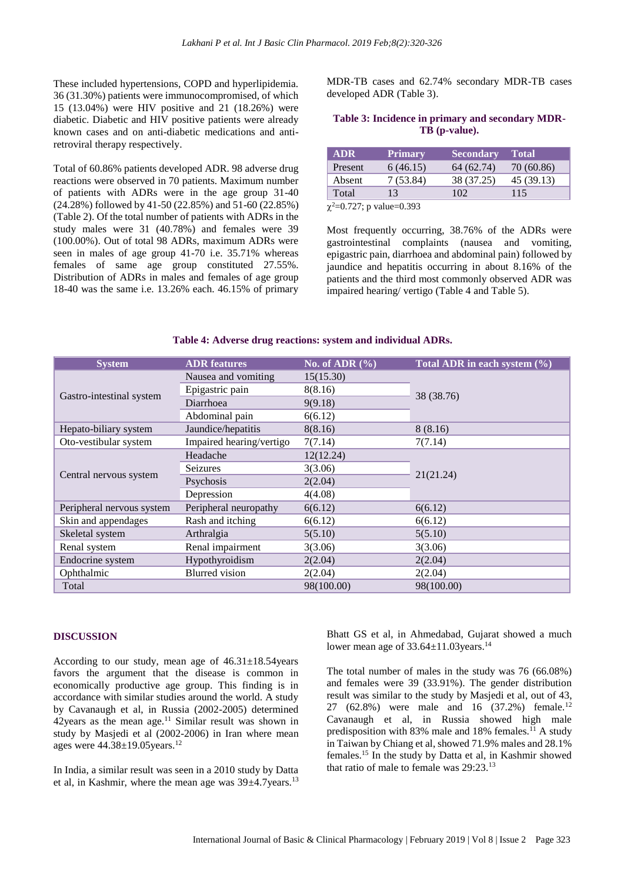These included hypertensions, COPD and hyperlipidemia. 36 (31.30%) patients were immunocompromised, of which 15 (13.04%) were HIV positive and 21 (18.26%) were diabetic. Diabetic and HIV positive patients were already known cases and on anti-diabetic medications and antiretroviral therapy respectively.

Total of 60.86% patients developed ADR. 98 adverse drug reactions were observed in 70 patients. Maximum number of patients with ADRs were in the age group 31-40 (24.28%) followed by 41-50 (22.85%) and 51-60 (22.85%) (Table 2). Of the total number of patients with ADRs in the study males were 31 (40.78%) and females were 39 (100.00%). Out of total 98 ADRs, maximum ADRs were seen in males of age group 41-70 i.e. 35.71% whereas females of same age group constituted 27.55%. Distribution of ADRs in males and females of age group 18-40 was the same i.e. 13.26% each. 46.15% of primary

MDR-TB cases and 62.74% secondary MDR-TB cases developed ADR (Table 3).

#### **Table 3: Incidence in primary and secondary MDR-TB (p-value).**

| <b>ADR</b>       | <b>Primary</b> | <b>Secondary</b> | <b>Total</b> |
|------------------|----------------|------------------|--------------|
| Present          | 6(46.15)       | 64 (62.74)       | 70 (60.86)   |
| Absent           | 7 (53.84)      | 38 (37.25)       | 45 (39.13)   |
| Total            | 13             | 102              | 115          |
| $2.0727 + 1.022$ |                |                  |              |

 $\chi^2$ =0.727; p value=0.393

Most frequently occurring, 38.76% of the ADRs were gastrointestinal complaints (nausea and vomiting, epigastric pain, diarrhoea and abdominal pain) followed by jaundice and hepatitis occurring in about 8.16% of the patients and the third most commonly observed ADR was impaired hearing/ vertigo (Table 4 and Table 5).

| <b>System</b>             | <b>ADR</b> features      | No. of ADR $(\% )$ | Total ADR in each system (%) |  |  |
|---------------------------|--------------------------|--------------------|------------------------------|--|--|
|                           | Nausea and vomiting      | 15(15.30)          |                              |  |  |
|                           | Epigastric pain          | 8(8.16)            | 38 (38.76)                   |  |  |
| Gastro-intestinal system  | Diarrhoea                | 9(9.18)            |                              |  |  |
|                           | Abdominal pain           | 6(6.12)            |                              |  |  |
| Hepato-biliary system     | Jaundice/hepatitis       | 8(8.16)            | 8(8.16)                      |  |  |
| Oto-vestibular system     | Impaired hearing/vertigo | 7(7.14)            | 7(7.14)                      |  |  |
|                           | Headache                 | 12(12.24)          |                              |  |  |
|                           | Seizures                 | 3(3.06)            |                              |  |  |
| Central nervous system    | Psychosis                | 2(2.04)            | 21(21.24)                    |  |  |
|                           | Depression               | 4(4.08)            |                              |  |  |
| Peripheral nervous system | Peripheral neuropathy    | 6(6.12)            | 6(6.12)                      |  |  |
| Skin and appendages       | Rash and itching         | 6(6.12)            | 6(6.12)                      |  |  |
| Skeletal system           | Arthralgia               |                    | 5(5.10)                      |  |  |
| Renal system              | Renal impairment         | 3(3.06)            | 3(3.06)                      |  |  |
| Endocrine system          | Hypothyroidism           | 2(2.04)            | 2(2.04)                      |  |  |
| Ophthalmic                | <b>Blurred</b> vision    | 2(2.04)            | 2(2.04)                      |  |  |
| Total                     |                          | 98(100.00)         | 98(100.00)                   |  |  |

#### **Table 4: Adverse drug reactions: system and individual ADRs.**

#### **DISCUSSION**

According to our study, mean age of  $46.31 \pm 18.54$  years favors the argument that the disease is common in economically productive age group. This finding is in accordance with similar studies around the world. A study by Cavanaugh et al, in Russia (2002-2005) determined  $42$ years as the mean age.<sup>11</sup> Similar result was shown in study by Masjedi et al (2002-2006) in Iran where mean ages were 44.38±19.05years.<sup>12</sup>

In India, a similar result was seen in a 2010 study by Datta et al, in Kashmir, where the mean age was  $39\pm4.7$ years.<sup>13</sup> Bhatt GS et al, in Ahmedabad, Gujarat showed a much lower mean age of 33.64±11.03years.<sup>14</sup>

The total number of males in the study was 76 (66.08%) and females were 39 (33.91%). The gender distribution result was similar to the study by Masjedi et al, out of 43, 27 (62.8%) were male and 16 (37.2%) female.<sup>12</sup> Cavanaugh et al, in Russia showed high male predisposition with 83% male and 18% females.<sup>11</sup> A study in Taiwan by Chiang et al, showed 71.9% males and 28.1% females.<sup>15</sup> In the study by Datta et al, in Kashmir showed that ratio of male to female was 29:23.13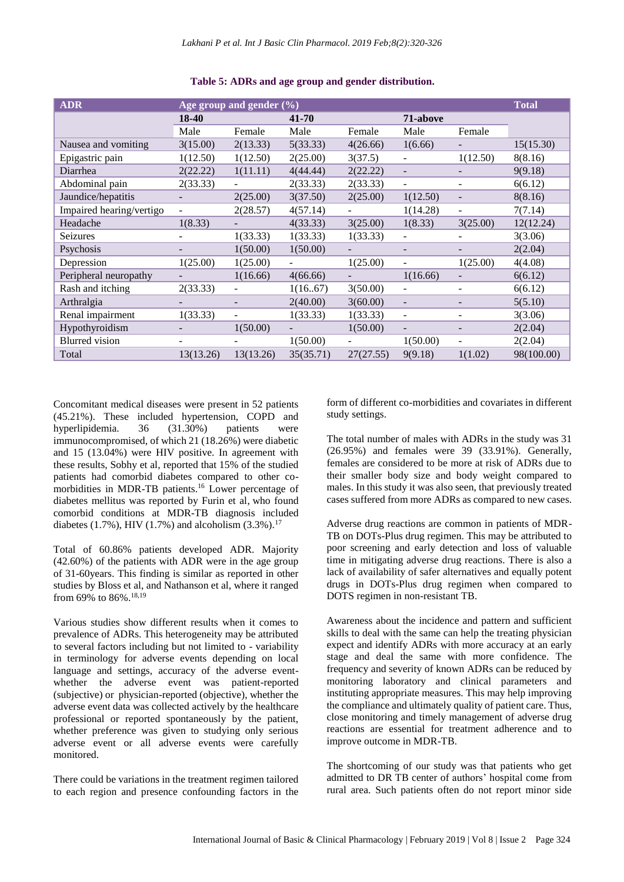| <b>ADR</b>               | Age group and gender $(\% )$ |           |           |           |                          |          | <b>Total</b> |
|--------------------------|------------------------------|-----------|-----------|-----------|--------------------------|----------|--------------|
|                          | 18-40                        |           | 41-70     |           | 71-above                 |          |              |
|                          | Male                         | Female    | Male      | Female    | Male                     | Female   |              |
| Nausea and vomiting      | 3(15.00)                     | 2(13.33)  | 5(33.33)  | 4(26.66)  | 1(6.66)                  |          | 15(15.30)    |
| Epigastric pain          | 1(12.50)                     | 1(12.50)  | 2(25.00)  | 3(37.5)   |                          | 1(12.50) | 8(8.16)      |
| Diarrhea                 | 2(22.22)                     | 1(11.11)  | 4(44.44)  | 2(22.22)  |                          |          | 9(9.18)      |
| Abdominal pain           | 2(33.33)                     |           | 2(33.33)  | 2(33.33)  |                          |          | 6(6.12)      |
| Jaundice/hepatitis       |                              | 2(25.00)  | 3(37.50)  | 2(25.00)  | 1(12.50)                 |          | 8(8.16)      |
| Impaired hearing/vertigo |                              | 2(28.57)  | 4(57.14)  |           | 1(14.28)                 |          | 7(7.14)      |
| Headache                 | 1(8.33)                      |           | 4(33.33)  | 3(25.00)  | 1(8.33)                  | 3(25.00) | 12(12.24)    |
| <b>Seizures</b>          |                              | 1(33.33)  | 1(33.33)  | 1(33.33)  |                          |          | 3(3.06)      |
| Psychosis                |                              | 1(50.00)  | 1(50.00)  |           |                          |          | 2(2.04)      |
| Depression               | 1(25.00)                     | 1(25.00)  | Ξ.        | 1(25.00)  |                          | 1(25.00) | 4(4.08)      |
| Peripheral neuropathy    |                              | 1(16.66)  | 4(66.66)  |           | 1(16.66)                 |          | 6(6.12)      |
| Rash and itching         | 2(33.33)                     |           | 1(16.67)  | 3(50.00)  | $\overline{\phantom{a}}$ |          | 6(6.12)      |
| Arthralgia               |                              |           | 2(40.00)  | 3(60.00)  |                          |          | 5(5.10)      |
| Renal impairment         | 1(33.33)                     |           | 1(33.33)  | 1(33.33)  | $\overline{\phantom{a}}$ |          | 3(3.06)      |
| Hypothyroidism           |                              | 1(50.00)  |           | 1(50.00)  |                          |          | 2(2.04)      |
| Blurred vision           |                              |           | 1(50.00)  |           | 1(50.00)                 |          | 2(2.04)      |
| Total                    | 13(13.26)                    | 13(13.26) | 35(35.71) | 27(27.55) | 9(9.18)                  | 1(1.02)  | 98(100.00)   |

**Table 5: ADRs and age group and gender distribution.**

Concomitant medical diseases were present in 52 patients (45.21%). These included hypertension, COPD and hyperlipidemia. 36 (31.30%) patients were immunocompromised, of which 21 (18.26%) were diabetic and 15 (13.04%) were HIV positive. In agreement with these results, Sobhy et al, reported that 15% of the studied patients had comorbid diabetes compared to other comorbidities in MDR-TB patients.<sup>16</sup> Lower percentage of diabetes mellitus was reported by Furin et al, who found comorbid conditions at MDR-TB diagnosis included diabetes (1.7%), HIV (1.7%) and alcoholism (3.3%).<sup>17</sup>

Total of 60.86% patients developed ADR. Majority (42.60%) of the patients with ADR were in the age group of 31-60years. This finding is similar as reported in other studies by Bloss et al, and Nathanson et al, where it ranged from 69% to 86%. 18,19

Various studies show different results when it comes to prevalence of ADRs. This heterogeneity may be attributed to several factors including but not limited to - variability in terminology for adverse events depending on local language and settings, accuracy of the adverse eventwhether the adverse event was patient-reported (subjective) or physician-reported (objective), whether the adverse event data was collected actively by the healthcare professional or reported spontaneously by the patient, whether preference was given to studying only serious adverse event or all adverse events were carefully monitored.

There could be variations in the treatment regimen tailored to each region and presence confounding factors in the

form of different co-morbidities and covariates in different study settings.

The total number of males with ADRs in the study was 31 (26.95%) and females were 39 (33.91%). Generally, females are considered to be more at risk of ADRs due to their smaller body size and body weight compared to males. In this study it was also seen, that previously treated cases suffered from more ADRs as compared to new cases.

Adverse drug reactions are common in patients of MDR-TB on DOTs-Plus drug regimen. This may be attributed to poor screening and early detection and loss of valuable time in mitigating adverse drug reactions. There is also a lack of availability of safer alternatives and equally potent drugs in DOTs-Plus drug regimen when compared to DOTS regimen in non-resistant TB.

Awareness about the incidence and pattern and sufficient skills to deal with the same can help the treating physician expect and identify ADRs with more accuracy at an early stage and deal the same with more confidence. The frequency and severity of known ADRs can be reduced by monitoring laboratory and clinical parameters and instituting appropriate measures. This may help improving the compliance and ultimately quality of patient care. Thus, close monitoring and timely management of adverse drug reactions are essential for treatment adherence and to improve outcome in MDR-TB.

The shortcoming of our study was that patients who get admitted to DR TB center of authors' hospital come from rural area. Such patients often do not report minor side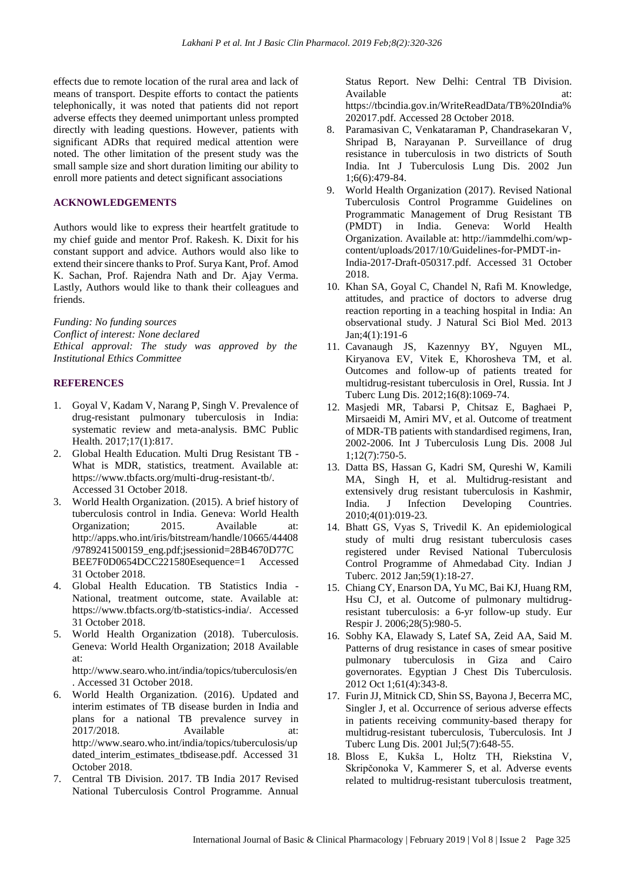effects due to remote location of the rural area and lack of means of transport. Despite efforts to contact the patients telephonically, it was noted that patients did not report adverse effects they deemed unimportant unless prompted directly with leading questions. However, patients with significant ADRs that required medical attention were noted. The other limitation of the present study was the small sample size and short duration limiting our ability to enroll more patients and detect significant associations

#### **ACKNOWLEDGEMENTS**

Authors would like to express their heartfelt gratitude to my chief guide and mentor Prof. Rakesh. K. Dixit for his constant support and advice. Authors would also like to extend their sincere thanks to Prof. Surya Kant, Prof. Amod K. Sachan, Prof. Rajendra Nath and Dr. Ajay Verma. Lastly, Authors would like to thank their colleagues and friends.

*Funding: No funding sources Conflict of interest: None declared Ethical approval: The study was approved by the Institutional Ethics Committee*

#### **REFERENCES**

- 1. Goyal V, Kadam V, Narang P, Singh V. Prevalence of drug-resistant pulmonary tuberculosis in India: systematic review and meta-analysis. BMC Public Health. 2017;17(1):817.
- 2. Global Health Education. Multi Drug Resistant TB What is MDR, statistics, treatment. Available at: https://www.tbfacts.org/multi-drug-resistant-tb/. Accessed 31 October 2018.
- 3. World Health Organization. (2015). A brief history of tuberculosis control in India. Geneva: World Health Organization; 2015. Available at: http://apps.who.int/iris/bitstream/handle/10665/44408 /9789241500159\_eng.pdf;jsessionid=28B4670D77C BEE7F0D0654DCC221580Esequence=1 Accessed 31 October 2018.
- 4. Global Health Education. TB Statistics India National, treatment outcome, state. Available at: https://www.tbfacts.org/tb-statistics-india/. Accessed 31 October 2018.
- 5. World Health Organization (2018). Tuberculosis. Geneva: World Health Organization; 2018 Available at:

http://www.searo.who.int/india/topics/tuberculosis/en . Accessed 31 October 2018.

- 6. World Health Organization. (2016). Updated and interim estimates of TB disease burden in India and plans for a national TB prevalence survey in 2017/2018. Available at: http://www.searo.who.int/india/topics/tuberculosis/up dated interim estimates tbdisease.pdf. Accessed 31 October 2018.
- 7. Central TB Division. 2017. TB India 2017 Revised National Tuberculosis Control Programme. Annual

Status Report. New Delhi: Central TB Division. Available at: at: https://tbcindia.gov.in/WriteReadData/TB%20India% 202017.pdf. Accessed 28 October 2018.

- 8. Paramasivan C, Venkataraman P, Chandrasekaran V, Shripad B, Narayanan P. Surveillance of drug resistance in tuberculosis in two districts of South India. Int J Tuberculosis Lung Dis. 2002 Jun 1;6(6):479-84.
- 9. World Health Organization (2017). Revised National Tuberculosis Control Programme Guidelines on Programmatic Management of Drug Resistant TB (PMDT) in India. Geneva: World Health Organization. Available at: http://iammdelhi.com/wpcontent/uploads/2017/10/Guidelines-for-PMDT-in-India-2017-Draft-050317.pdf. Accessed 31 October 2018.
- 10. Khan SA, Goyal C, Chandel N, Rafi M. Knowledge, attitudes, and practice of doctors to adverse drug reaction reporting in a teaching hospital in India: An observational study. J Natural Sci Biol Med. 2013 Jan;4(1):191-6
- 11. Cavanaugh JS, Kazennyy BY, Nguyen ML, Kiryanova EV, Vitek E, Khorosheva TM, et al. Outcomes and follow-up of patients treated for multidrug-resistant tuberculosis in Orel, Russia. Int J Tuberc Lung Dis. 2012;16(8):1069-74.
- 12. Masjedi MR, Tabarsi P, Chitsaz E, Baghaei P, Mirsaeidi M, Amiri MV, et al. Outcome of treatment of MDR-TB patients with standardised regimens, Iran, 2002-2006. Int J Tuberculosis Lung Dis. 2008 Jul 1;12(7):750-5.
- 13. Datta BS, Hassan G, Kadri SM, Qureshi W, Kamili MA, Singh H, et al. Multidrug-resistant and extensively drug resistant tuberculosis in Kashmir, India. J Infection Developing Countries. 2010;4(01):019-23.
- 14. Bhatt GS, Vyas S, Trivedil K. An epidemiological study of multi drug resistant tuberculosis cases registered under Revised National Tuberculosis Control Programme of Ahmedabad City. Indian J Tuberc. 2012 Jan;59(1):18-27.
- 15. Chiang CY, Enarson DA, Yu MC, Bai KJ, Huang RM, Hsu CJ, et al. Outcome of pulmonary multidrugresistant tuberculosis: a 6-yr follow-up study. Eur Respir J. 2006;28(5):980-5.
- 16. Sobhy KA, Elawady S, Latef SA, Zeid AA, Said M. Patterns of drug resistance in cases of smear positive pulmonary tuberculosis in Giza and Cairo governorates. Egyptian J Chest Dis Tuberculosis. 2012 Oct 1;61(4):343-8.
- 17. Furin JJ, Mitnick CD, Shin SS, Bayona J, Becerra MC, Singler J, et al. Occurrence of serious adverse effects in patients receiving community-based therapy for multidrug-resistant tuberculosis, Tuberculosis. Int J Tuberc Lung Dis. 2001 Jul;5(7):648-55.
- 18. Bloss E, Kukša L, Holtz TH, Riekstina V, Skripčonoka V, Kammerer S, et al. Adverse events related to multidrug-resistant tuberculosis treatment,